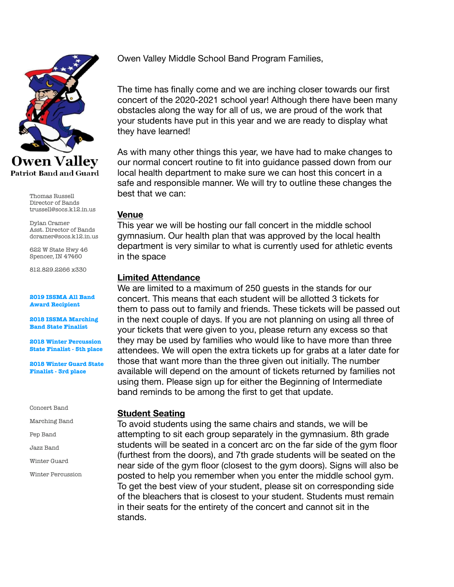

Thomas Russell Director of Bands trussell@socs.k12.in.us

Dylan Cramer Asst. Director of Bands dcramer@socs.k12.in.us

622 W State Hwy 46 Spencer, IN 47460

812.829.2266 x330

#### **2019 ISSMA All Band Award Recipient**

**2018 ISSMA Marching Band State Finalist** 

**2018 Winter Percussion State Finalist - 5th place** 

**2018 Winter Guard State Finalist - 3rd place** 

Concert Band

Marching Band

Pep Band

Jazz Band

Winter Guard

Winter Percussion

Owen Valley Middle School Band Program Families,

The time has finally come and we are inching closer towards our first concert of the 2020-2021 school year! Although there have been many obstacles along the way for all of us, we are proud of the work that your students have put in this year and we are ready to display what they have learned!

As with many other things this year, we have had to make changes to our normal concert routine to fit into guidance passed down from our local health department to make sure we can host this concert in a safe and responsible manner. We will try to outline these changes the best that we can:

### **Venue**

This year we will be hosting our fall concert in the middle school gymnasium. Our health plan that was approved by the local health department is very similar to what is currently used for athletic events in the space

## **Limited Attendance**

We are limited to a maximum of 250 guests in the stands for our concert. This means that each student will be allotted 3 tickets for them to pass out to family and friends. These tickets will be passed out in the next couple of days. If you are not planning on using all three of your tickets that were given to you, please return any excess so that they may be used by families who would like to have more than three attendees. We will open the extra tickets up for grabs at a later date for those that want more than the three given out initially. The number available will depend on the amount of tickets returned by families not using them. Please sign up for either the Beginning of Intermediate band reminds to be among the first to get that update.

### **Student Seating**

To avoid students using the same chairs and stands, we will be attempting to sit each group separately in the gymnasium. 8th grade students will be seated in a concert arc on the far side of the gym floor (furthest from the doors), and 7th grade students will be seated on the near side of the gym floor (closest to the gym doors). Signs will also be posted to help you remember when you enter the middle school gym. To get the best view of your student, please sit on corresponding side of the bleachers that is closest to your student. Students must remain in their seats for the entirety of the concert and cannot sit in the stands.